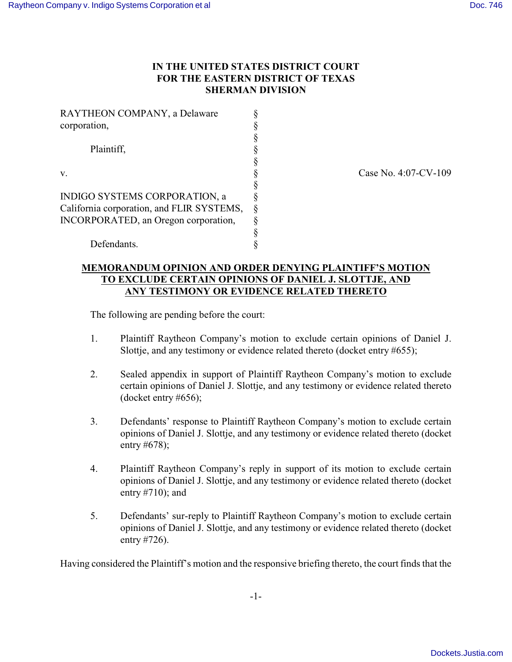## **IN THE UNITED STATES DISTRICT COURT FOR THE EASTERN DISTRICT OF TEXAS SHERMAN DIVISION**

| RAYTHEON COMPANY, a Delaware              |   |
|-------------------------------------------|---|
| corporation,                              | § |
|                                           | § |
| Plaintiff,                                | § |
|                                           | § |
| V.                                        | § |
|                                           | § |
| INDIGO SYSTEMS CORPORATION, a             | § |
| California corporation, and FLIR SYSTEMS, | § |
| INCORPORATED, an Oregon corporation,      | ş |
|                                           | § |
| Defendants.                               |   |

Case No. 4:07-CV-109

## **MEMORANDUM OPINION AND ORDER DENYING PLAINTIFF'S MOTION TO EXCLUDE CERTAIN OPINIONS OF DANIEL J. SLOTTJE, AND ANY TESTIMONY OR EVIDENCE RELATED THERETO**

The following are pending before the court:

- 1. Plaintiff Raytheon Company's motion to exclude certain opinions of Daniel J. Slottje, and any testimony or evidence related thereto (docket entry #655);
- 2. Sealed appendix in support of Plaintiff Raytheon Company's motion to exclude certain opinions of Daniel J. Slottje, and any testimony or evidence related thereto (docket entry #656);
- 3. Defendants' response to Plaintiff Raytheon Company's motion to exclude certain opinions of Daniel J. Slottje, and any testimony or evidence related thereto (docket entry #678);
- 4. Plaintiff Raytheon Company's reply in support of its motion to exclude certain opinions of Daniel J. Slottje, and any testimony or evidence related thereto (docket entry #710); and
- 5. Defendants' sur-reply to Plaintiff Raytheon Company's motion to exclude certain opinions of Daniel J. Slottje, and any testimony or evidence related thereto (docket entry #726).

Having considered the Plaintiff's motion and the responsive briefing thereto, the court finds that the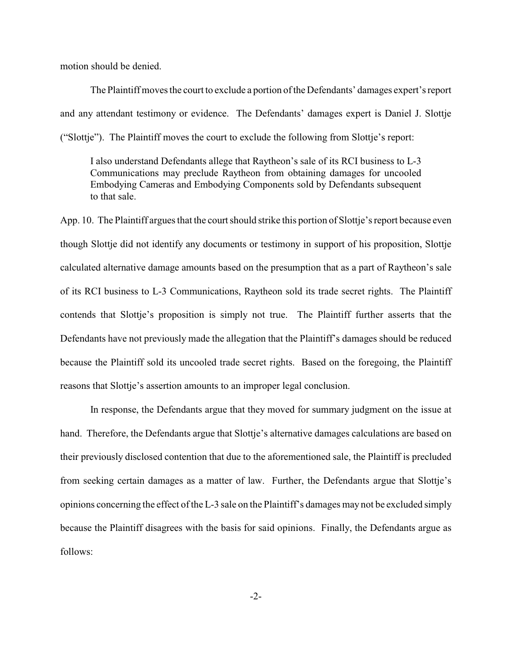motion should be denied.

The Plaintiff moves the court to exclude a portion of the Defendants' damages expert's report and any attendant testimony or evidence. The Defendants' damages expert is Daniel J. Slottje ("Slottje"). The Plaintiff moves the court to exclude the following from Slottje's report:

I also understand Defendants allege that Raytheon's sale of its RCI business to L-3 Communications may preclude Raytheon from obtaining damages for uncooled Embodying Cameras and Embodying Components sold by Defendants subsequent to that sale.

App. 10. The Plaintiff argues that the court should strike this portion of Slottje's report because even though Slottje did not identify any documents or testimony in support of his proposition, Slottje calculated alternative damage amounts based on the presumption that as a part of Raytheon's sale of its RCI business to L-3 Communications, Raytheon sold its trade secret rights. The Plaintiff contends that Slottje's proposition is simply not true. The Plaintiff further asserts that the Defendants have not previously made the allegation that the Plaintiff's damages should be reduced because the Plaintiff sold its uncooled trade secret rights. Based on the foregoing, the Plaintiff reasons that Slottje's assertion amounts to an improper legal conclusion.

In response, the Defendants argue that they moved for summary judgment on the issue at hand. Therefore, the Defendants argue that Slottje's alternative damages calculations are based on their previously disclosed contention that due to the aforementioned sale, the Plaintiff is precluded from seeking certain damages as a matter of law. Further, the Defendants argue that Slottje's opinions concerning the effect of the L-3 sale on the Plaintiff's damages may not be excluded simply because the Plaintiff disagrees with the basis for said opinions. Finally, the Defendants argue as follows: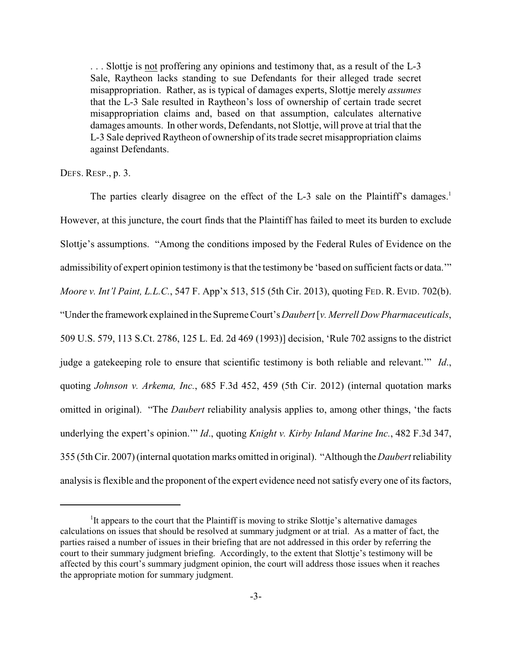. . . Slottje is not proffering any opinions and testimony that, as a result of the L-3 Sale, Raytheon lacks standing to sue Defendants for their alleged trade secret misappropriation. Rather, as is typical of damages experts, Slottje merely *assumes* that the L-3 Sale resulted in Raytheon's loss of ownership of certain trade secret misappropriation claims and, based on that assumption, calculates alternative damages amounts. In other words, Defendants, not Slottje, will prove at trial that the L-3 Sale deprived Raytheon of ownership of its trade secret misappropriation claims against Defendants.

DEFS. RESP., p. 3.

The parties clearly disagree on the effect of the L-3 sale on the Plaintiff's damages.<sup>1</sup> However, at this juncture, the court finds that the Plaintiff has failed to meet its burden to exclude Slottje's assumptions. "Among the conditions imposed by the Federal Rules of Evidence on the admissibility of expert opinion testimony is that the testimony be 'based on sufficient facts or data.'" *Moore v. Int'l Paint, L.L.C.*, 547 F. App'x 513, 515 (5th Cir. 2013), quoting FED. R. EVID. 702(b). "Under the framework explained in the Supreme Court's*Daubert* [*v. Merrell Dow Pharmaceuticals*, 509 U.S. 579, 113 S.Ct. 2786, 125 L. Ed. 2d 469 (1993)] decision, 'Rule 702 assigns to the district judge a gatekeeping role to ensure that scientific testimony is both reliable and relevant.'" *Id*., quoting *Johnson v. Arkema, Inc.*, 685 F.3d 452, 459 (5th Cir. 2012) (internal quotation marks omitted in original). "The *Daubert* reliability analysis applies to, among other things, 'the facts underlying the expert's opinion.'" *Id*., quoting *Knight v. Kirby Inland Marine Inc.*, 482 F.3d 347, 355 (5th Cir. 2007) (internal quotation marks omitted in original). "Although the *Daubert* reliability analysis is flexible and the proponent of the expert evidence need not satisfy every one of its factors,

<sup>&</sup>lt;sup>1</sup>It appears to the court that the Plaintiff is moving to strike Slottje's alternative damages calculations on issues that should be resolved at summary judgment or at trial. As a matter of fact, the parties raised a number of issues in their briefing that are not addressed in this order by referring the court to their summary judgment briefing. Accordingly, to the extent that Slottje's testimony will be affected by this court's summary judgment opinion, the court will address those issues when it reaches the appropriate motion for summary judgment.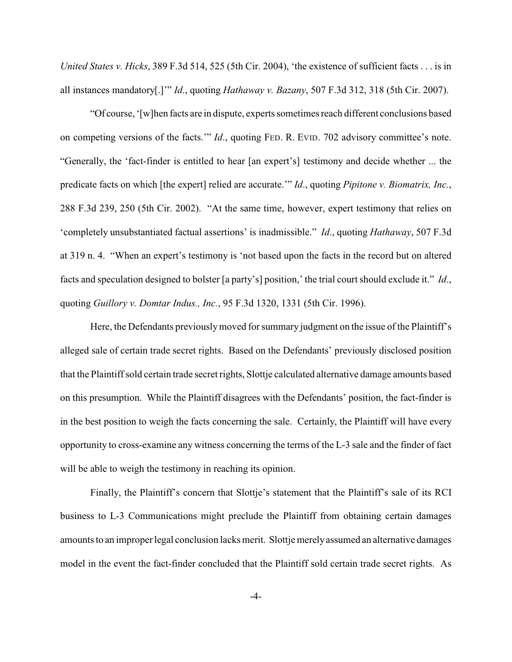*United States v. Hicks*, 389 F.3d 514, 525 (5th Cir. 2004), 'the existence of sufficient facts . . . is in all instances mandatory[.]'" *Id*., quoting *Hathaway v. Bazany*, 507 F.3d 312, 318 (5th Cir. 2007).

"Of course, '[w]hen facts are in dispute, experts sometimes reach different conclusions based on competing versions of the facts.'" *Id*., quoting FED. R. EVID. 702 advisory committee's note. "Generally, the 'fact-finder is entitled to hear [an expert's] testimony and decide whether ... the predicate facts on which [the expert] relied are accurate.'" *Id*., quoting *Pipitone v. Biomatrix, Inc.*, 288 F.3d 239, 250 (5th Cir. 2002). "At the same time, however, expert testimony that relies on 'completely unsubstantiated factual assertions' is inadmissible." *Id*., quoting *Hathaway*, 507 F.3d at 319 n. 4. "When an expert's testimony is 'not based upon the facts in the record but on altered facts and speculation designed to bolster [a party's] position,' the trial court should exclude it." *Id*., quoting *Guillory v. Domtar Indus., Inc.*, 95 F.3d 1320, 1331 (5th Cir. 1996).

Here, the Defendants previously moved for summary judgment on the issue of the Plaintiff's alleged sale of certain trade secret rights. Based on the Defendants' previously disclosed position that the Plaintiff sold certain trade secret rights, Slottje calculated alternative damage amounts based on this presumption. While the Plaintiff disagrees with the Defendants' position, the fact-finder is in the best position to weigh the facts concerning the sale. Certainly, the Plaintiff will have every opportunity to cross-examine any witness concerning the terms of the L-3 sale and the finder of fact will be able to weigh the testimony in reaching its opinion.

Finally, the Plaintiff's concern that Slottje's statement that the Plaintiff's sale of its RCI business to L-3 Communications might preclude the Plaintiff from obtaining certain damages amounts to an improper legal conclusion lacks merit. Slottje merely assumed an alternative damages model in the event the fact-finder concluded that the Plaintiff sold certain trade secret rights. As